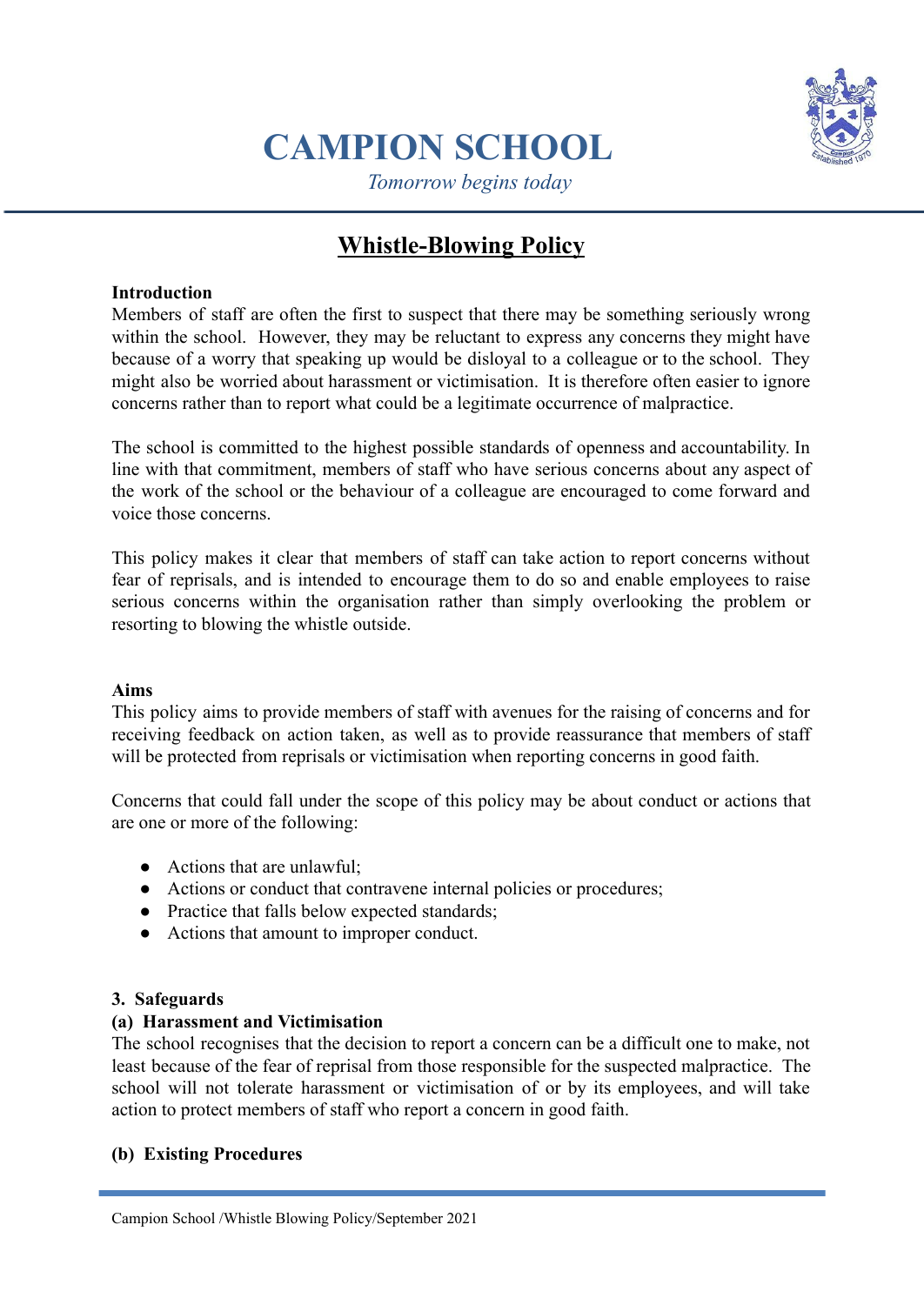

# **CAMPION SCHOOL**

*Tomorrow begins today*

# **Whistle-Blowing Policy**

## **Introduction**

Members of staff are often the first to suspect that there may be something seriously wrong within the school. However, they may be reluctant to express any concerns they might have because of a worry that speaking up would be disloyal to a colleague or to the school. They might also be worried about harassment or victimisation. It is therefore often easier to ignore concerns rather than to report what could be a legitimate occurrence of malpractice.

The school is committed to the highest possible standards of openness and accountability. In line with that commitment, members of staff who have serious concerns about any aspect of the work of the school or the behaviour of a colleague are encouraged to come forward and voice those concerns.

This policy makes it clear that members of staff can take action to report concerns without fear of reprisals, and is intended to encourage them to do so and enable employees to raise serious concerns within the organisation rather than simply overlooking the problem or resorting to blowing the whistle outside.

### **Aims**

This policy aims to provide members of staff with avenues for the raising of concerns and for receiving feedback on action taken, as well as to provide reassurance that members of staff will be protected from reprisals or victimisation when reporting concerns in good faith.

Concerns that could fall under the scope of this policy may be about conduct or actions that are one or more of the following:

- $\bullet$  Actions that are unlawful:
- Actions or conduct that contravene internal policies or procedures;
- Practice that falls below expected standards;
- Actions that amount to improper conduct.

### **3. Safeguards**

### **(a) Harassment and Victimisation**

The school recognises that the decision to report a concern can be a difficult one to make, not least because of the fear of reprisal from those responsible for the suspected malpractice. The school will not tolerate harassment or victimisation of or by its employees, and will take action to protect members of staff who report a concern in good faith.

### **(b) Existing Procedures**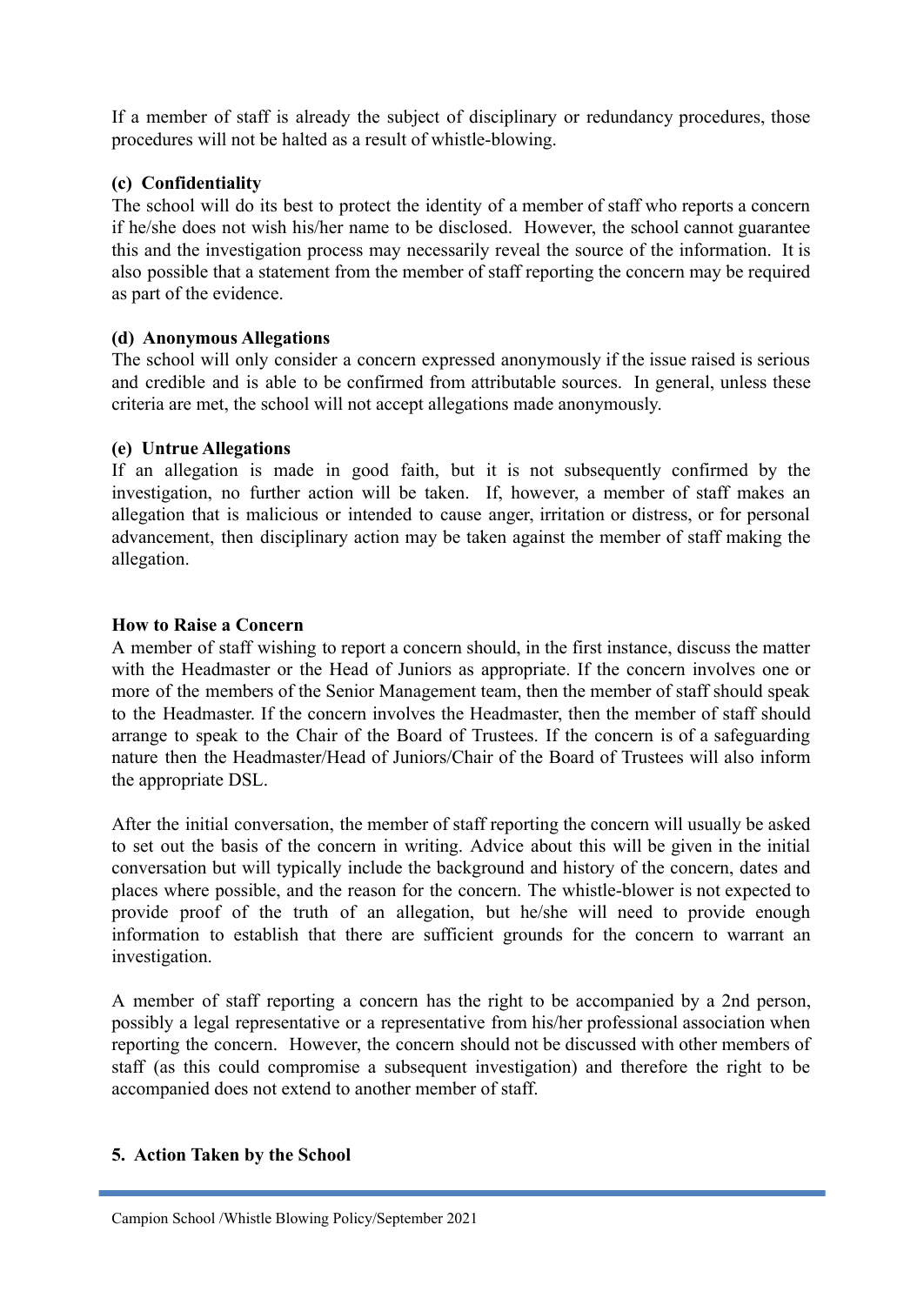If a member of staff is already the subject of disciplinary or redundancy procedures, those procedures will not be halted as a result of whistle-blowing.

# **(c) Confidentiality**

The school will do its best to protect the identity of a member of staff who reports a concern if he/she does not wish his/her name to be disclosed. However, the school cannot guarantee this and the investigation process may necessarily reveal the source of the information. It is also possible that a statement from the member of staff reporting the concern may be required as part of the evidence.

# **(d) Anonymous Allegations**

The school will only consider a concern expressed anonymously if the issue raised is serious and credible and is able to be confirmed from attributable sources. In general, unless these criteria are met, the school will not accept allegations made anonymously.

# **(e) Untrue Allegations**

If an allegation is made in good faith, but it is not subsequently confirmed by the investigation, no further action will be taken. If, however, a member of staff makes an allegation that is malicious or intended to cause anger, irritation or distress, or for personal advancement, then disciplinary action may be taken against the member of staff making the allegation.

# **How to Raise a Concern**

A member of staff wishing to report a concern should, in the first instance, discuss the matter with the Headmaster or the Head of Juniors as appropriate. If the concern involves one or more of the members of the Senior Management team, then the member of staff should speak to the Headmaster. If the concern involves the Headmaster, then the member of staff should arrange to speak to the Chair of the Board of Trustees. If the concern is of a safeguarding nature then the Headmaster/Head of Juniors/Chair of the Board of Trustees will also inform the appropriate DSL.

After the initial conversation, the member of staff reporting the concern will usually be asked to set out the basis of the concern in writing. Advice about this will be given in the initial conversation but will typically include the background and history of the concern, dates and places where possible, and the reason for the concern. The whistle-blower is not expected to provide proof of the truth of an allegation, but he/she will need to provide enough information to establish that there are sufficient grounds for the concern to warrant an investigation.

A member of staff reporting a concern has the right to be accompanied by a 2nd person, possibly a legal representative or a representative from his/her professional association when reporting the concern. However, the concern should not be discussed with other members of staff (as this could compromise a subsequent investigation) and therefore the right to be accompanied does not extend to another member of staff.

### **5. Action Taken by the School**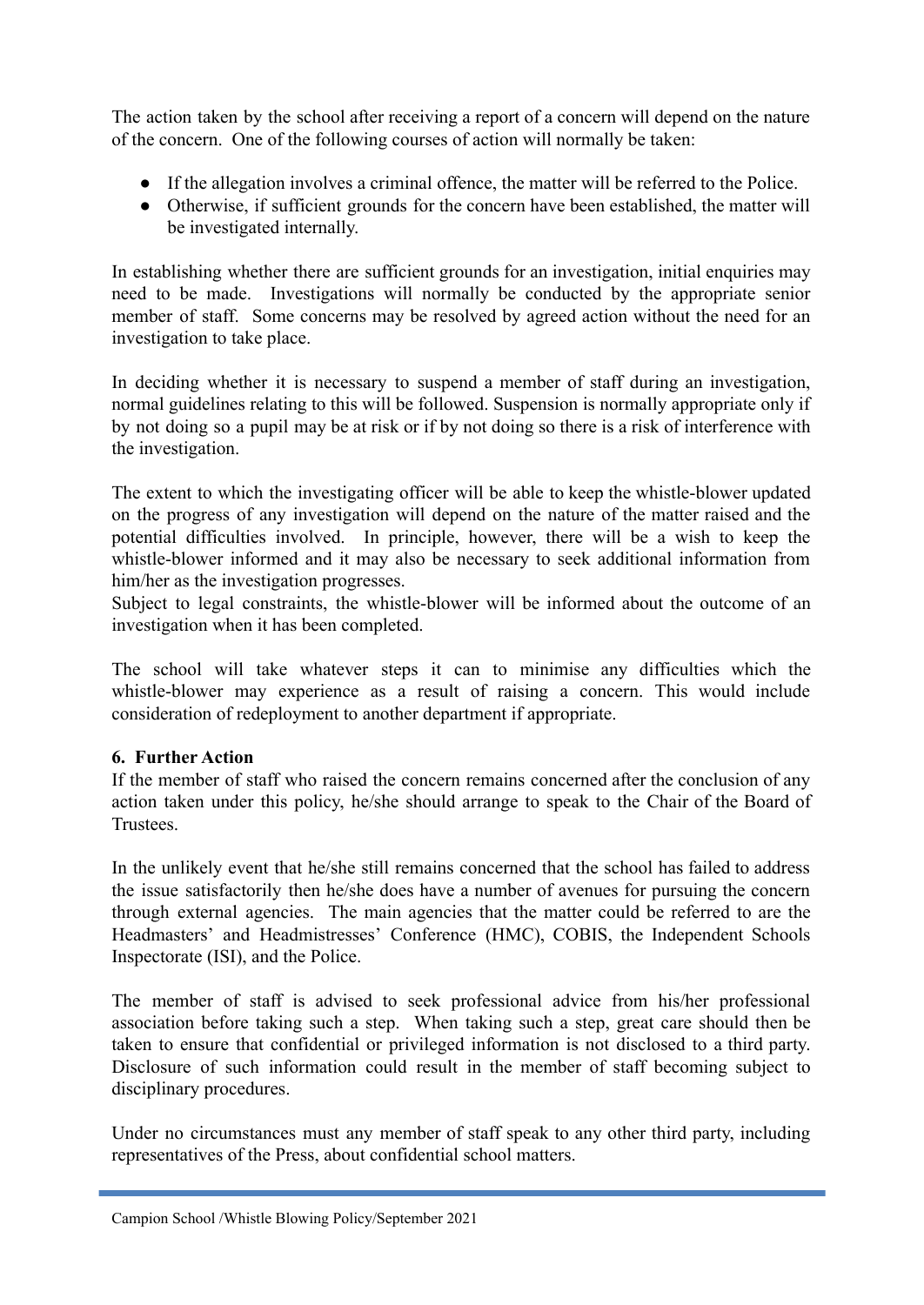The action taken by the school after receiving a report of a concern will depend on the nature of the concern. One of the following courses of action will normally be taken:

- If the allegation involves a criminal offence, the matter will be referred to the Police.
- Otherwise, if sufficient grounds for the concern have been established, the matter will be investigated internally.

In establishing whether there are sufficient grounds for an investigation, initial enquiries may need to be made. Investigations will normally be conducted by the appropriate senior member of staff. Some concerns may be resolved by agreed action without the need for an investigation to take place.

In deciding whether it is necessary to suspend a member of staff during an investigation, normal guidelines relating to this will be followed. Suspension is normally appropriate only if by not doing so a pupil may be at risk or if by not doing so there is a risk of interference with the investigation.

The extent to which the investigating officer will be able to keep the whistle-blower updated on the progress of any investigation will depend on the nature of the matter raised and the potential difficulties involved. In principle, however, there will be a wish to keep the whistle-blower informed and it may also be necessary to seek additional information from him/her as the investigation progresses.

Subject to legal constraints, the whistle-blower will be informed about the outcome of an investigation when it has been completed.

The school will take whatever steps it can to minimise any difficulties which the whistle-blower may experience as a result of raising a concern. This would include consideration of redeployment to another department if appropriate.

### **6. Further Action**

If the member of staff who raised the concern remains concerned after the conclusion of any action taken under this policy, he/she should arrange to speak to the Chair of the Board of **Trustees** 

In the unlikely event that he/she still remains concerned that the school has failed to address the issue satisfactorily then he/she does have a number of avenues for pursuing the concern through external agencies. The main agencies that the matter could be referred to are the Headmasters' and Headmistresses' Conference (HMC), COBIS, the Independent Schools Inspectorate (ISI), and the Police.

The member of staff is advised to seek professional advice from his/her professional association before taking such a step. When taking such a step, great care should then be taken to ensure that confidential or privileged information is not disclosed to a third party. Disclosure of such information could result in the member of staff becoming subject to disciplinary procedures.

Under no circumstances must any member of staff speak to any other third party, including representatives of the Press, about confidential school matters.

Campion School /Whistle Blowing Policy/September 2021